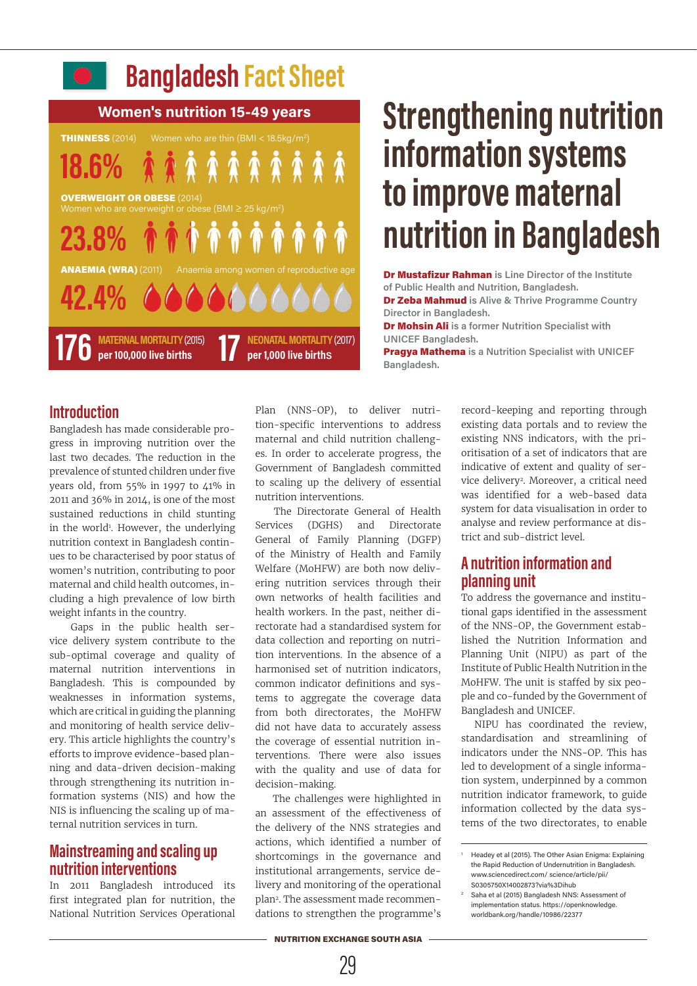

# **Strengthening nutrition information systems to improve maternal nutrition in Bangladesh**

Dr Mustafizur Rahman **is Line Director of the Institute of Public Health and Nutrition, Bangladesh.** 

Dr Zeba Mahmud **is Alive & Thrive Programme Country Director in Bangladesh.**

Dr Mohsin Ali **is a former Nutrition Specialist with UNICEF Bangladesh.**

Pragya Mathema **is a Nutrition Specialist with UNICEF Bangladesh.**

### **Introduction**

Bangladesh has made considerable progress in improving nutrition over the last two decades. The reduction in the prevalence of stunted children under five years old, from 55% in 1997 to 41% in 2011 and 36% in 2014, is one of the most sustained reductions in child stunting in the world<sup>1</sup>. However, the underlying nutrition context in Bangladesh continues to be characterised by poor status of women's nutrition, contributing to poor maternal and child health outcomes, including a high prevalence of low birth weight infants in the country.

 Gaps in the public health service delivery system contribute to the sub-optimal coverage and quality of maternal nutrition interventions in Bangladesh. This is compounded by weaknesses in information systems, which are critical in guiding the planning and monitoring of health service delivery. This article highlights the country's efforts to improve evidence-based planning and data-driven decision-making through strengthening its nutrition information systems (NIS) and how the NIS is influencing the scaling up of maternal nutrition services in turn.

## **Mainstreaming and scaling up nutrition interventions**

In 2011 Bangladesh introduced its first integrated plan for nutrition, the National Nutrition Services Operational

Plan (NNS-OP), to deliver nutrition-specific interventions to address maternal and child nutrition challenges. In order to accelerate progress, the Government of Bangladesh committed to scaling up the delivery of essential nutrition interventions.

 The Directorate General of Health Services (DGHS) and Directorate General of Family Planning (DGFP) of the Ministry of Health and Family Welfare (MoHFW) are both now delivering nutrition services through their own networks of health facilities and health workers. In the past, neither directorate had a standardised system for data collection and reporting on nutrition interventions. In the absence of a harmonised set of nutrition indicators, common indicator definitions and systems to aggregate the coverage data from both directorates, the MoHFW did not have data to accurately assess the coverage of essential nutrition interventions. There were also issues with the quality and use of data for decision-making.

 The challenges were highlighted in an assessment of the effectiveness of the delivery of the NNS strategies and actions, which identified a number of shortcomings in the governance and institutional arrangements, service delivery and monitoring of the operational plan2. The assessment made recommendations to strengthen the programme's

record-keeping and reporting through existing data portals and to review the existing NNS indicators, with the prioritisation of a set of indicators that are indicative of extent and quality of service delivery2. Moreover, a critical need was identified for a web-based data system for data visualisation in order to analyse and review performance at district and sub-district level.

## **A nutrition information and planning unit**

To address the governance and institutional gaps identified in the assessment of the NNS-OP, the Government established the Nutrition Information and Planning Unit (NIPU) as part of the Institute of Public Health Nutrition in the MoHFW. The unit is staffed by six people and co-funded by the Government of Bangladesh and UNICEF.

NIPU has coordinated the review, standardisation and streamlining of indicators under the NNS-OP. This has led to development of a single information system, underpinned by a common nutrition indicator framework, to guide information collected by the data systems of the two directorates, to enable

NUTRITION EXCHANGE SOUTH ASIA

29

Headey et al (2015). The Other Asian Enigma: Explaining the Rapid Reduction of Undernutrition in Bangladesh. www.sciencedirect.com/ science/article/pii/ S0305750X14002873?via%3Dihub

<sup>2</sup> Saha et al (2015) Bangladesh NNS: Assessment of implementation status. https://openknowledge. worldbank.org/handle/10986/22377